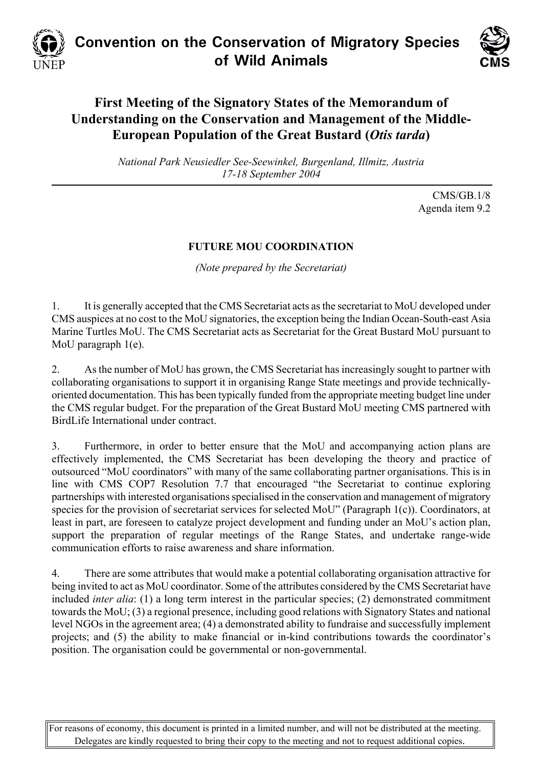



## **First Meeting of the Signatory States of the Memorandum of Understanding on the Conservation and Management of the Middle-European Population of the Great Bustard (***Otis tarda***)**

*National Park Neusiedler See-Seewinkel, Burgenland, Illmitz, Austria 17-18 September 2004* 

> CMS/GB.1/8 Agenda item 9.2

## **FUTURE MOU COORDINATION**

*(Note prepared by the Secretariat)*

1. It is generally accepted that the CMS Secretariat acts as the secretariat to MoU developed under CMS auspices at no cost to the MoU signatories, the exception being the Indian Ocean-South-east Asia Marine Turtles MoU. The CMS Secretariat acts as Secretariat for the Great Bustard MoU pursuant to MoU paragraph 1(e).

2. As the number of MoU has grown, the CMS Secretariat has increasingly sought to partner with collaborating organisations to support it in organising Range State meetings and provide technicallyoriented documentation. This has been typically funded from the appropriate meeting budget line under the CMS regular budget. For the preparation of the Great Bustard MoU meeting CMS partnered with BirdLife International under contract.

3. Furthermore, in order to better ensure that the MoU and accompanying action plans are effectively implemented, the CMS Secretariat has been developing the theory and practice of outsourced "MoU coordinators" with many of the same collaborating partner organisations. This is in line with CMS COP7 Resolution 7.7 that encouraged "the Secretariat to continue exploring partnerships with interested organisations specialised in the conservation and management of migratory species for the provision of secretariat services for selected MoU" (Paragraph 1(c)). Coordinators, at least in part, are foreseen to catalyze project development and funding under an MoU's action plan, support the preparation of regular meetings of the Range States, and undertake range-wide communication efforts to raise awareness and share information.

4. There are some attributes that would make a potential collaborating organisation attractive for being invited to act as MoU coordinator. Some of the attributes considered by the CMS Secretariat have included *inter alia*: (1) a long term interest in the particular species; (2) demonstrated commitment towards the MoU; (3) a regional presence, including good relations with Signatory States and national level NGOs in the agreement area; (4) a demonstrated ability to fundraise and successfully implement projects; and (5) the ability to make financial or in-kind contributions towards the coordinator's position. The organisation could be governmental or non-governmental.

For reasons of economy, this document is printed in a limited number, and will not be distributed at the meeting. Delegates are kindly requested to bring their copy to the meeting and not to request additional copies.